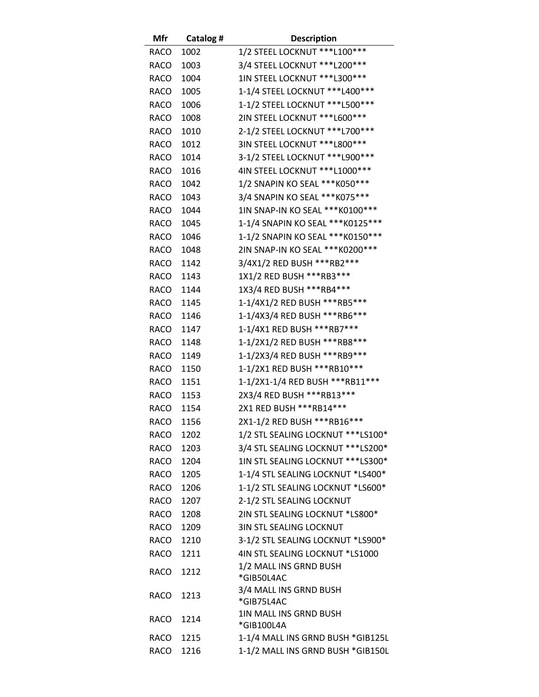| Mfr         | Catalog # | <b>Description</b>                   |
|-------------|-----------|--------------------------------------|
| RACO        | 1002      | 1/2 STEEL LOCKNUT *** L100***        |
| <b>RACO</b> | 1003      | 3/4 STEEL LOCKNUT *** L200 ***       |
| <b>RACO</b> | 1004      | 1IN STEEL LOCKNUT *** L300 ***       |
| <b>RACO</b> | 1005      | 1-1/4 STEEL LOCKNUT *** L400 ***     |
| <b>RACO</b> | 1006      | 1-1/2 STEEL LOCKNUT *** L500 ***     |
| <b>RACO</b> | 1008      | 2IN STEEL LOCKNUT *** L600 ***       |
| <b>RACO</b> | 1010      | 2-1/2 STEEL LOCKNUT *** L700 ***     |
| <b>RACO</b> | 1012      | 3IN STEEL LOCKNUT *** L800 ***       |
| <b>RACO</b> | 1014      | 3-1/2 STEEL LOCKNUT *** L900 ***     |
| <b>RACO</b> | 1016      | 4IN STEEL LOCKNUT *** L1000 ***      |
| <b>RACO</b> | 1042      | 1/2 SNAPIN KO SEAL *** K050 ***      |
| <b>RACO</b> | 1043      | 3/4 SNAPIN KO SEAL *** K075 ***      |
| <b>RACO</b> | 1044      | 1IN SNAP-IN KO SEAL *** K0100 ***    |
| <b>RACO</b> | 1045      | 1-1/4 SNAPIN KO SEAL *** K0125 ***   |
| <b>RACO</b> | 1046      | 1-1/2 SNAPIN KO SEAL *** K0150 ***   |
| <b>RACO</b> | 1048      | 2IN SNAP-IN KO SEAL *** K0200 ***    |
| <b>RACO</b> | 1142      | 3/4X1/2 RED BUSH *** RB2***          |
| <b>RACO</b> | 1143      | 1X1/2 RED BUSH *** RB3 ***           |
| <b>RACO</b> | 1144      | 1X3/4 RED BUSH *** RB4***            |
| RACO        | 1145      | 1-1/4X1/2 RED BUSH ***RB5***         |
| <b>RACO</b> | 1146      | 1-1/4X3/4 RED BUSH ***RB6***         |
| <b>RACO</b> | 1147      | 1-1/4X1 RED BUSH *** RB7***          |
| <b>RACO</b> | 1148      | 1-1/2X1/2 RED BUSH *** RB8***        |
| <b>RACO</b> | 1149      | 1-1/2X3/4 RED BUSH ***RB9***         |
| <b>RACO</b> | 1150      | 1-1/2X1 RED BUSH *** RB10 ***        |
| <b>RACO</b> | 1151      | 1-1/2X1-1/4 RED BUSH *** RB11 ***    |
| <b>RACO</b> | 1153      | 2X3/4 RED BUSH *** RB13 ***          |
| <b>RACO</b> | 1154      | 2X1 RED BUSH *** RB14 ***            |
| <b>RACO</b> | 1156      | 2X1-1/2 RED BUSH *** RB16 ***        |
| RACO        | 1202      | 1/2 STL SEALING LOCKNUT *** LS100*   |
| RACO        | 1203      | 3/4 STL SEALING LOCKNUT *** LS200*   |
| RACO        | 1204      | 1IN STL SEALING LOCKNUT *** LS300*   |
| RACO        | 1205      | 1-1/4 STL SEALING LOCKNUT *LS400*    |
| RACO        | 1206      | 1-1/2 STL SEALING LOCKNUT *LS600*    |
| RACO        | 1207      | 2-1/2 STL SEALING LOCKNUT            |
| RACO        | 1208      | 2IN STL SEALING LOCKNUT *LS800*      |
| RACO        | 1209      | <b>3IN STL SEALING LOCKNUT</b>       |
| RACO        | 1210      | 3-1/2 STL SEALING LOCKNUT *LS900*    |
| RACO        | 1211      | 4IN STL SEALING LOCKNUT *LS1000      |
| RACO        | 1212      | 1/2 MALL INS GRND BUSH               |
|             |           | *GIB50L4AC                           |
| RACO        | 1213      | 3/4 MALL INS GRND BUSH               |
|             |           | *GIB75L4AC                           |
| RACO        | 1214      | 1IN MALL INS GRND BUSH<br>*GIB100L4A |
| RACO        | 1215      | 1-1/4 MALL INS GRND BUSH *GIB125L    |
| RACO        | 1216      | 1-1/2 MALL INS GRND BUSH *GIB150L    |
|             |           |                                      |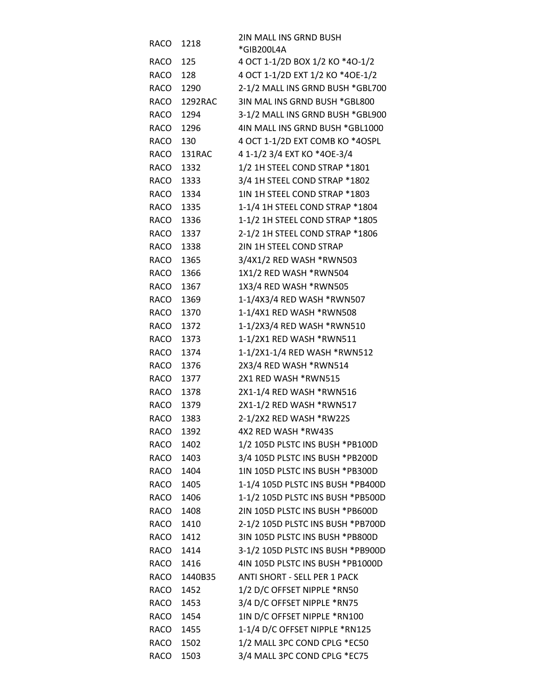| RACO      | 1218         | 2IN MALL INS GRND BUSH            |
|-----------|--------------|-----------------------------------|
|           |              | *GIB200L4A                        |
| RACO      | 125          | 4 OCT 1-1/2D BOX 1/2 KO *4O-1/2   |
| RACO      | 128          | 4 OCT 1-1/2D EXT 1/2 KO *40E-1/2  |
| RACO      | 1290         | 2-1/2 MALL INS GRND BUSH *GBL700  |
| RACO      | 1292RAC      | 3IN MAL INS GRND BUSH *GBL800     |
| RACO      | 1294         | 3-1/2 MALL INS GRND BUSH *GBL900  |
| RACO      | 1296         | 4IN MALL INS GRND BUSH *GBL1000   |
| RACO      | 130          | 4 OCT 1-1/2D EXT COMB KO *4OSPL   |
| RACO      | 131RAC       | 4 1-1/2 3/4 EXT KO *40E-3/4       |
| RACO      | 1332         | 1/2 1H STEEL COND STRAP *1801     |
| RACO      | 1333         | 3/4 1H STEEL COND STRAP *1802     |
| RACO      | 1334         | 1IN 1H STEEL COND STRAP *1803     |
| RACO      | 1335         | 1-1/4 1H STEEL COND STRAP *1804   |
| RACO      | 1336         | 1-1/2 1H STEEL COND STRAP *1805   |
| RACO      | 1337         | 2-1/2 1H STEEL COND STRAP *1806   |
| RACO      | 1338         | 2IN 1H STEEL COND STRAP           |
| RACO      | 1365         | 3/4X1/2 RED WASH *RWN503          |
| RACO      | 1366         | 1X1/2 RED WASH *RWN504            |
| RACO      | 1367         | 1X3/4 RED WASH *RWN505            |
| RACO      | 1369         | 1-1/4X3/4 RED WASH *RWN507        |
| RACO      | 1370         | 1-1/4X1 RED WASH *RWN508          |
| RACO      | 1372         | 1-1/2X3/4 RED WASH *RWN510        |
| RACO      | 1373         | 1-1/2X1 RED WASH *RWN511          |
| RACO      | 1374         | 1-1/2X1-1/4 RED WASH *RWN512      |
| RACO      | 1376         | 2X3/4 RED WASH *RWN514            |
| RACO      | 1377         | 2X1 RED WASH *RWN515              |
| RACO      | 1378         | 2X1-1/4 RED WASH *RWN516          |
| RACO      | 1379         | 2X1-1/2 RED WASH *RWN517          |
| RACO      | 1383         | 2-1/2X2 RED WASH *RW22S           |
| RACO      | 1392         | 4X2 RED WASH *RW43S               |
| RACO      | 1402         | 1/2 105D PLSTC INS BUSH *PB100D   |
| RACO 1403 |              | 3/4 105D PLSTC INS BUSH *PB200D   |
| RACO 1404 |              | 1IN 105D PLSTC INS BUSH *PB300D   |
| RACO      | 1405         | 1-1/4 105D PLSTC INS BUSH *PB400D |
| RACO      | 1406         | 1-1/2 105D PLSTC INS BUSH *PB500D |
| RACO      | 1408         | 2IN 105D PLSTC INS BUSH *PB600D   |
| RACO      | 1410         | 2-1/2 105D PLSTC INS BUSH *PB700D |
| RACO      | 1412         | 3IN 105D PLSTC INS BUSH *PB800D   |
| RACO      | 1414         | 3-1/2 105D PLSTC INS BUSH *PB900D |
| RACO 1416 |              | 4IN 105D PLSTC INS BUSH *PB1000D  |
|           | RACO 1440B35 | ANTI SHORT - SELL PER 1 PACK      |
| RACO      | 1452         | 1/2 D/C OFFSET NIPPLE *RN50       |
| RACO      | 1453         | 3/4 D/C OFFSET NIPPLE *RN75       |
| RACO      | 1454         | 1IN D/C OFFSET NIPPLE *RN100      |
| RACO      | 1455         | 1-1/4 D/C OFFSET NIPPLE *RN125    |
| RACO      | 1502         | 1/2 MALL 3PC COND CPLG *EC50      |
| RACO      | 1503         | 3/4 MALL 3PC COND CPLG *EC75      |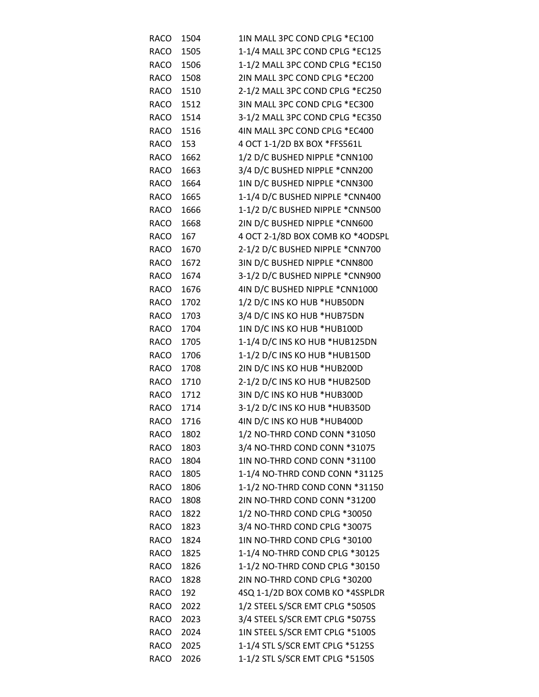| <b>RACO</b> | 1504 | 1IN MALL 3PC COND CPLG *EC100    |
|-------------|------|----------------------------------|
| <b>RACO</b> | 1505 | 1-1/4 MALL 3PC COND CPLG *EC125  |
| <b>RACO</b> | 1506 | 1-1/2 MALL 3PC COND CPLG *EC150  |
| <b>RACO</b> | 1508 | 2IN MALL 3PC COND CPLG *EC200    |
| <b>RACO</b> | 1510 | 2-1/2 MALL 3PC COND CPLG *EC250  |
| <b>RACO</b> | 1512 | 3IN MALL 3PC COND CPLG *EC300    |
| <b>RACO</b> | 1514 | 3-1/2 MALL 3PC COND CPLG *EC350  |
| <b>RACO</b> | 1516 | 4IN MALL 3PC COND CPLG *EC400    |
| <b>RACO</b> | 153  | 4 OCT 1-1/2D BX BOX *FFS561L     |
| <b>RACO</b> | 1662 | 1/2 D/C BUSHED NIPPLE *CNN100    |
| RACO        | 1663 | 3/4 D/C BUSHED NIPPLE *CNN200    |
| <b>RACO</b> | 1664 | 1IN D/C BUSHED NIPPLE *CNN300    |
| RACO        | 1665 | 1-1/4 D/C BUSHED NIPPLE *CNN400  |
| RACO        | 1666 | 1-1/2 D/C BUSHED NIPPLE *CNN500  |
| <b>RACO</b> | 1668 | 2IN D/C BUSHED NIPPLE *CNN600    |
| <b>RACO</b> | 167  | 4 OCT 2-1/8D BOX COMB KO *4ODSPL |
| RACO        | 1670 | 2-1/2 D/C BUSHED NIPPLE *CNN700  |
| <b>RACO</b> | 1672 | 3IN D/C BUSHED NIPPLE *CNN800    |
| <b>RACO</b> | 1674 | 3-1/2 D/C BUSHED NIPPLE *CNN900  |
| <b>RACO</b> | 1676 | 4IN D/C BUSHED NIPPLE *CNN1000   |
| RACO        | 1702 | 1/2 D/C INS KO HUB *HUB50DN      |
| <b>RACO</b> | 1703 | 3/4 D/C INS KO HUB *HUB75DN      |
| <b>RACO</b> | 1704 | 1IN D/C INS KO HUB *HUB100D      |
| <b>RACO</b> | 1705 | 1-1/4 D/C INS KO HUB *HUB125DN   |
| RACO        | 1706 | 1-1/2 D/C INS KO HUB *HUB150D    |
| <b>RACO</b> | 1708 | 2IN D/C INS KO HUB *HUB200D      |
| <b>RACO</b> | 1710 | 2-1/2 D/C INS KO HUB *HUB250D    |
| <b>RACO</b> | 1712 | 3IN D/C INS KO HUB *HUB300D      |
| RACO        | 1714 | 3-1/2 D/C INS KO HUB *HUB350D    |
| <b>RACO</b> | 1716 | 4IN D/C INS KO HUB *HUB400D      |
| <b>RACO</b> | 1802 | 1/2 NO-THRD COND CONN *31050     |
| RACO        | 1803 | 3/4 NO-THRD COND CONN *31075     |
| RACO        | 1804 | 1IN NO-THRD COND CONN *31100     |
| <b>RACO</b> | 1805 | 1-1/4 NO-THRD COND CONN *31125   |
| <b>RACO</b> | 1806 | 1-1/2 NO-THRD COND CONN *31150   |
| RACO        | 1808 | 2IN NO-THRD COND CONN *31200     |
| RACO        | 1822 | 1/2 NO-THRD COND CPLG *30050     |
| <b>RACO</b> | 1823 | 3/4 NO-THRD COND CPLG *30075     |
| <b>RACO</b> | 1824 | 1IN NO-THRD COND CPLG *30100     |
| RACO        | 1825 | 1-1/4 NO-THRD COND CPLG *30125   |
| RACO        | 1826 | 1-1/2 NO-THRD COND CPLG *30150   |
| <b>RACO</b> | 1828 | 2IN NO-THRD COND CPLG *30200     |
| <b>RACO</b> | 192  | 4SQ 1-1/2D BOX COMB KO *4SSPLDR  |
| RACO        | 2022 | 1/2 STEEL S/SCR EMT CPLG *5050S  |
| RACO        | 2023 | 3/4 STEEL S/SCR EMT CPLG *5075S  |
| <b>RACO</b> | 2024 | 1IN STEEL S/SCR EMT CPLG *5100S  |
| <b>RACO</b> | 2025 | 1-1/4 STL S/SCR EMT CPLG *5125S  |
| <b>RACO</b> | 2026 | 1-1/2 STL S/SCR EMT CPLG *5150S  |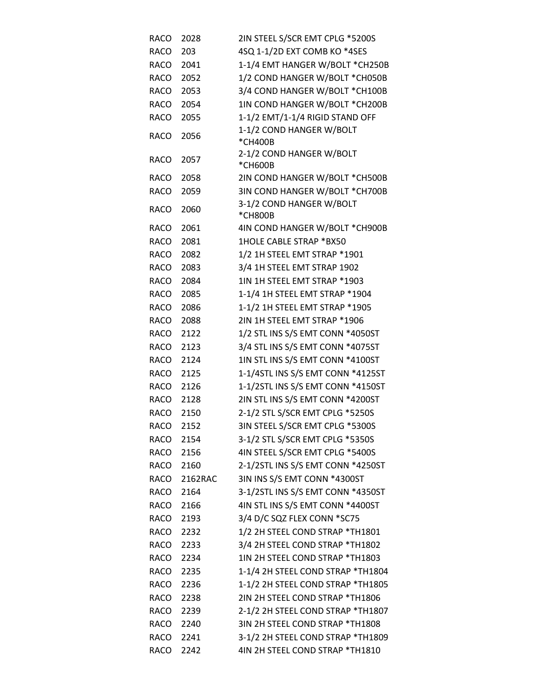| RACO        | 2028    | 2IN STEEL S/SCR EMT CPLG *5200S            |
|-------------|---------|--------------------------------------------|
| RACO        | 203     | 4SQ 1-1/2D EXT COMB KO *4SES               |
| RACO        | 2041    | 1-1/4 EMT HANGER W/BOLT *CH250B            |
| RACO        | 2052    | 1/2 COND HANGER W/BOLT * CH050B            |
| RACO        | 2053    | 3/4 COND HANGER W/BOLT * CH100B            |
| RACO        | 2054    | 1IN COND HANGER W/BOLT * CH200B            |
| RACO        | 2055    | 1-1/2 EMT/1-1/4 RIGID STAND OFF            |
| <b>RACO</b> | 2056    | 1-1/2 COND HANGER W/BOLT                   |
|             |         | *CH400B                                    |
| RACO        | 2057    | 2-1/2 COND HANGER W/BOLT                   |
| <b>RACO</b> | 2058    | *CH600B<br>2IN COND HANGER W/BOLT * CH500B |
| <b>RACO</b> | 2059    | 3IN COND HANGER W/BOLT *CH700B             |
|             |         | 3-1/2 COND HANGER W/BOLT                   |
| <b>RACO</b> | 2060    | *CH800B                                    |
| <b>RACO</b> | 2061    | 4IN COND HANGER W/BOLT *CH900B             |
| RACO        | 2081    | 1HOLE CABLE STRAP *BX50                    |
| RACO        | 2082    | 1/2 1H STEEL EMT STRAP *1901               |
| RACO        | 2083    | 3/4 1H STEEL EMT STRAP 1902                |
| RACO        | 2084    | 1IN 1H STEEL EMT STRAP *1903               |
| RACO        | 2085    | 1-1/4 1H STEEL EMT STRAP *1904             |
| RACO        | 2086    | 1-1/2 1H STEEL EMT STRAP *1905             |
| RACO        | 2088    | 2IN 1H STEEL EMT STRAP *1906               |
| RACO        | 2122    | 1/2 STL INS S/S EMT CONN *4050ST           |
| RACO        | 2123    | 3/4 STL INS S/S EMT CONN *4075ST           |
| RACO        | 2124    | 1IN STL INS S/S EMT CONN *4100ST           |
| RACO        | 2125    | 1-1/4STL INS S/S EMT CONN *4125ST          |
| RACO        | 2126    | 1-1/2STL INS S/S EMT CONN *4150ST          |
| RACO        | 2128    | 2IN STL INS S/S EMT CONN *4200ST           |
| <b>RACO</b> | 2150    | 2-1/2 STL S/SCR EMT CPLG *5250S            |
| RACO        | 2152    | 3IN STEEL S/SCR EMT CPLG *5300S            |
| RACO        | 2154    | 3-1/2 STL S/SCR EMT CPLG *5350S            |
| RACO        | 2156    | 4IN STEEL S/SCR EMT CPLG *5400S            |
| RACO        | 2160    | 2-1/2STL INS S/S EMT CONN *4250ST          |
| RACO        | 2162RAC | 3IN INS S/S EMT CONN *4300ST               |
| RACO        | 2164    | 3-1/2STL INS S/S EMT CONN *4350ST          |
| RACO        | 2166    | 4IN STL INS S/S EMT CONN *4400ST           |
| RACO        | 2193    | 3/4 D/C SQZ FLEX CONN *SC75                |
| RACO        | 2232    | 1/2 2H STEEL COND STRAP *TH1801            |
| RACO        | 2233    | 3/4 2H STEEL COND STRAP *TH1802            |
| RACO        | 2234    | 1IN 2H STEEL COND STRAP *TH1803            |
| RACO        | 2235    | 1-1/4 2H STEEL COND STRAP *TH1804          |
| RACO        | 2236    | 1-1/2 2H STEEL COND STRAP *TH1805          |
| RACO        | 2238    | 2IN 2H STEEL COND STRAP *TH1806            |
| RACO        | 2239    | 2-1/2 2H STEEL COND STRAP *TH1807          |
| RACO        | 2240    | 3IN 2H STEEL COND STRAP *TH1808            |
| RACO        | 2241    | 3-1/2 2H STEEL COND STRAP *TH1809          |
| <b>RACO</b> | 2242    | 4IN 2H STEEL COND STRAP *TH1810            |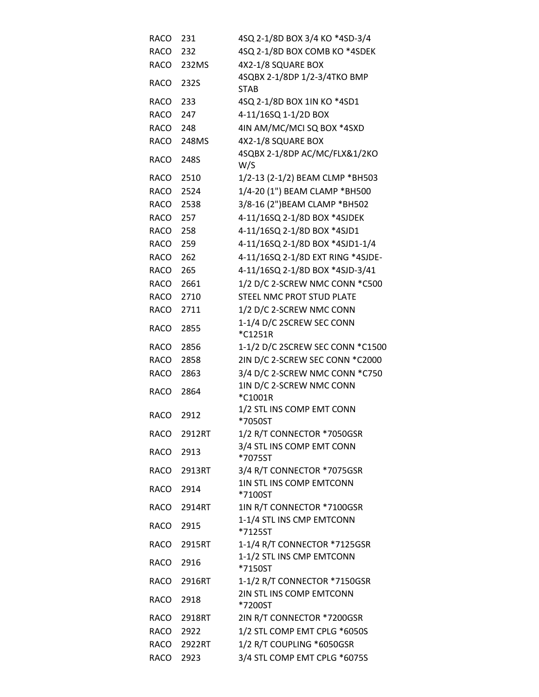| RACO        | 231         | 4SQ 2-1/8D BOX 3/4 KO *4SD-3/4              |
|-------------|-------------|---------------------------------------------|
| RACO        | 232         | 4SQ 2-1/8D BOX COMB KO *4SDEK               |
| <b>RACO</b> | 232MS       | 4X2-1/8 SQUARE BOX                          |
| RACO        | 232S        | 4SQBX 2-1/8DP 1/2-3/4TKO BMP<br><b>STAB</b> |
| RACO        | 233         | 4SQ 2-1/8D BOX 1IN KO *4SD1                 |
| RACO        | 247         | 4-11/16SQ 1-1/2D BOX                        |
| RACO        | 248         | 4IN AM/MC/MCI SQ BOX *4SXD                  |
| RACO        | 248MS       | 4X2-1/8 SQUARE BOX                          |
| RACO        | 248S        | 4SQBX 2-1/8DP AC/MC/FLX&1/2KO<br>W/S        |
| RACO        | 2510        | 1/2-13 (2-1/2) BEAM CLMP *BH503             |
| RACO        | 2524        | 1/4-20 (1") BEAM CLAMP *BH500               |
| RACO        | 2538        | 3/8-16 (2") BEAM CLAMP *BH502               |
| RACO        | 257         | 4-11/16SQ 2-1/8D BOX *4SJDEK                |
| RACO        | 258         | 4-11/16SQ 2-1/8D BOX *4SJD1                 |
| RACO        | 259         | 4-11/16SQ 2-1/8D BOX *4SJD1-1/4             |
| <b>RACO</b> | 262         | 4-11/16SQ 2-1/8D EXT RING *4SJDE-           |
| RACO        | 265         | 4-11/16SQ 2-1/8D BOX *4SJD-3/41             |
| RACO        | 2661        | 1/2 D/C 2-SCREW NMC CONN *C500              |
| RACO        | 2710        | STEEL NMC PROT STUD PLATE                   |
| <b>RACO</b> | 2711        | 1/2 D/C 2-SCREW NMC CONN                    |
| RACO        | 2855        | 1-1/4 D/C 2SCREW SEC CONN<br>*C1251R        |
| RACO        | 2856        | 1-1/2 D/C 2SCREW SEC CONN *C1500            |
| RACO        | 2858        | 2IN D/C 2-SCREW SEC CONN *C2000             |
| <b>RACO</b> | 2863        | 3/4 D/C 2-SCREW NMC CONN *C750              |
| RACO        | 2864        | 1IN D/C 2-SCREW NMC CONN<br>*C1001R         |
| <b>RACO</b> | 2912        | 1/2 STL INS COMP EMT CONN<br>*7050ST        |
| <b>RACO</b> | 2912RT      | 1/2 R/T CONNECTOR *7050GSR                  |
| RACO        | 2913        | 3/4 STL INS COMP EMT CONN<br>*7075ST        |
| RACO        | 2913RT      | 3/4 R/T CONNECTOR *7075GSR                  |
| <b>RACO</b> | 2914        | 1IN STL INS COMP EMTCONN<br>*7100ST         |
| RACO        | 2914RT      | 1IN R/T CONNECTOR *7100GSR                  |
| <b>RACO</b> | 2915        | 1-1/4 STL INS CMP EMTCONN<br>*7125ST        |
| RACO        | 2915RT      | 1-1/4 R/T CONNECTOR *7125GSR                |
| <b>RACO</b> | 2916        | 1-1/2 STL INS CMP EMTCONN<br>*7150ST        |
| <b>RACO</b> | 2916RT      | 1-1/2 R/T CONNECTOR *7150GSR                |
| RACO        | 2918        | 2IN STL INS COMP EMTCONN<br>*7200ST         |
|             | RACO 2918RT | 2IN R/T CONNECTOR *7200GSR                  |
| RACO        | 2922        | 1/2 STL COMP EMT CPLG *6050S                |
| RACO        | 2922RT      | 1/2 R/T COUPLING *6050GSR                   |
| RACO        | 2923        | 3/4 STL COMP EMT CPLG *6075S                |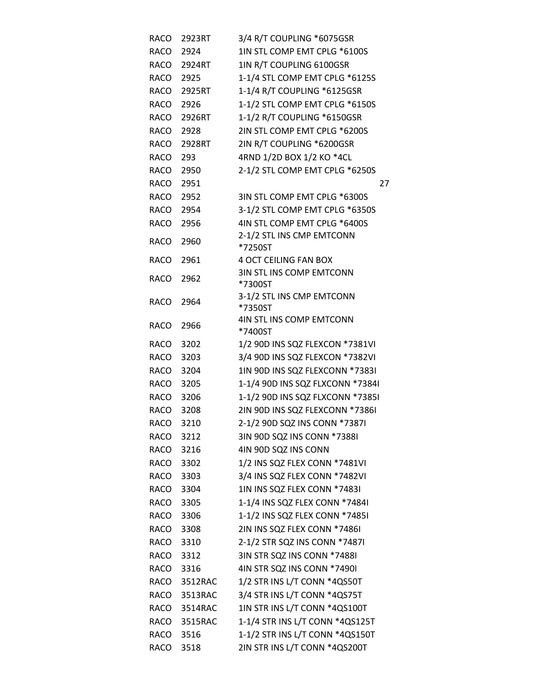| RACO        | 2923RT       | 3/4 R/T COUPLING *6075GSR            |
|-------------|--------------|--------------------------------------|
| RACO        | 2924         | 1IN STL COMP EMT CPLG *6100S         |
| RACO        | 2924RT       | 1IN R/T COUPLING 6100GSR             |
| RACO        | 2925         | 1-1/4 STL COMP EMT CPLG *6125S       |
| RACO        | 2925RT       | 1-1/4 R/T COUPLING *6125GSR          |
| RACO        | 2926         | 1-1/2 STL COMP EMT CPLG *6150S       |
| RACO        | 2926RT       | 1-1/2 R/T COUPLING *6150GSR          |
| RACO        | 2928         | 2IN STL COMP EMT CPLG *6200S         |
| RACO        | 2928RT       | 2IN R/T COUPLING *6200GSR            |
| RACO        | 293          | 4RND 1/2D BOX 1/2 KO *4CL            |
| RACO        | 2950         | 2-1/2 STL COMP EMT CPLG *6250S       |
| RACO        | 2951         | 27                                   |
| RACO        | 2952         | 3IN STL COMP EMT CPLG *6300S         |
| RACO        | 2954         | 3-1/2 STL COMP EMT CPLG *6350S       |
| RACO        | 2956         | 4IN STL COMP EMT CPLG *6400S         |
| RACO        | 2960         | 2-1/2 STL INS CMP EMTCONN            |
|             |              | *7250ST                              |
| <b>RACO</b> | 2961         | <b>4 OCT CEILING FAN BOX</b>         |
| <b>RACO</b> | 2962         | <b>3IN STL INS COMP EMTCONN</b>      |
|             |              | *7300ST<br>3-1/2 STL INS CMP EMTCONN |
| <b>RACO</b> | 2964         | *7350ST                              |
|             |              | 4IN STL INS COMP EMTCONN             |
| <b>RACO</b> | 2966         | *7400ST                              |
| RACO        | 3202         | 1/2 90D INS SQZ FLEXCON *7381VI      |
| RACO        | 3203         | 3/4 90D INS SQZ FLEXCON *7382VI      |
| RACO        | 3204         | 1IN 90D INS SQZ FLEXCONN *7383I      |
| RACO        | 3205         | 1-1/4 90D INS SQZ FLXCONN *73841     |
| RACO        | 3206         | 1-1/2 90D INS SQZ FLXCONN *7385I     |
| RACO        | 3208         | 2IN 90D INS SQZ FLEXCONN *7386I      |
| RACO        | 3210         | 2-1/2 90D SQZ INS CONN *7387I        |
| RACO        | 3212         | 3IN 90D SQZ INS CONN *7388I          |
| RACO 3216   |              | 4IN 90D SQZ INS CONN                 |
| RACO 3302   |              | 1/2 INS SQZ FLEX CONN *7481VI        |
| RACO 3303   |              | 3/4 INS SQZ FLEX CONN *7482VI        |
| RACO        | 3304         | 1IN INS SQZ FLEX CONN *7483I         |
| RACO        | 3305         | 1-1/4 INS SQZ FLEX CONN *74841       |
| RACO        | 3306         | 1-1/2 INS SQZ FLEX CONN *74851       |
| RACO        | 3308         | 2IN INS SQZ FLEX CONN *7486I         |
| RACO        | 3310         | 2-1/2 STR SQZ INS CONN *7487I        |
| RACO 3312   |              | 3IN STR SQZ INS CONN *7488I          |
| RACO 3316   |              | 4IN STR SQZ INS CONN *7490I          |
|             | RACO 3512RAC | 1/2 STR INS L/T CONN *4QS50T         |
| RACO        | 3513RAC      | 3/4 STR INS L/T CONN *4QS75T         |
|             | RACO 3514RAC | 1IN STR INS L/T CONN *4QS100T        |
|             | RACO 3515RAC | 1-1/4 STR INS L/T CONN *4QS125T      |
| RACO        | 3516         | 1-1/2 STR INS L/T CONN *4QS150T      |
| RACO        | 3518         | 2IN STR INS L/T CONN *4QS200T        |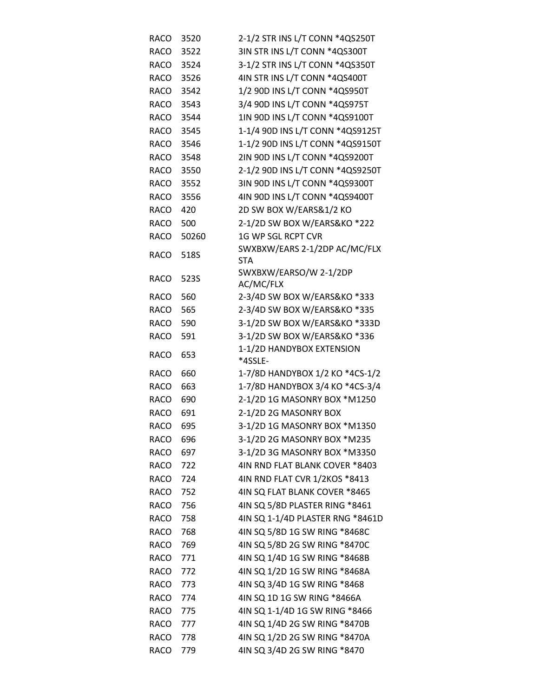| <b>RACO</b> | 3520  | 2-1/2 STR INS L/T CONN *4QS250T             |
|-------------|-------|---------------------------------------------|
| RACO        | 3522  | 3IN STR INS L/T CONN *4QS300T               |
| RACO        | 3524  | 3-1/2 STR INS L/T CONN *4QS350T             |
| <b>RACO</b> | 3526  | 4IN STR INS L/T CONN *4QS400T               |
| RACO        | 3542  | 1/2 90D INS L/T CONN *4QS950T               |
| RACO        | 3543  | 3/4 90D INS L/T CONN *4QS975T               |
| RACO        | 3544  | 1IN 90D INS L/T CONN *4QS9100T              |
| <b>RACO</b> | 3545  | 1-1/4 90D INS L/T CONN *4QS9125T            |
| RACO        | 3546  | 1-1/2 90D INS L/T CONN *4QS9150T            |
| RACO        | 3548  | 2IN 90D INS L/T CONN *4QS9200T              |
| RACO        | 3550  | 2-1/2 90D INS L/T CONN *4QS9250T            |
| <b>RACO</b> | 3552  | 3IN 90D INS L/T CONN *4QS9300T              |
| RACO        | 3556  | 4IN 90D INS L/T CONN *4QS9400T              |
| RACO        | 420   | 2D SW BOX W/EARS&1/2 KO                     |
| RACO        | 500   | 2-1/2D SW BOX W/EARS&KO *222                |
| <b>RACO</b> | 50260 | 1G WP SGL RCPT CVR                          |
| RACO        | 518S  | SWXBXW/EARS 2-1/2DP AC/MC/FLX<br><b>STA</b> |
| <b>RACO</b> | 523S  | SWXBXW/EARSO/W 2-1/2DP<br>AC/MC/FLX         |
| RACO        | 560   | 2-3/4D SW BOX W/EARS&KO *333                |
| <b>RACO</b> | 565   | 2-3/4D SW BOX W/EARS&KO *335                |
| RACO        | 590   | 3-1/2D SW BOX W/EARS&KO *333D               |
| <b>RACO</b> | 591   | 3-1/2D SW BOX W/EARS&KO *336                |
| <b>RACO</b> | 653   | 1-1/2D HANDYBOX EXTENSION<br>*4SSLE-        |
| RACO        | 660   | 1-7/8D HANDYBOX 1/2 KO *4CS-1/2             |
| <b>RACO</b> | 663   | 1-7/8D HANDYBOX 3/4 KO *4CS-3/4             |
| <b>RACO</b> | 690   | 2-1/2D 1G MASONRY BOX *M1250                |
| <b>RACO</b> | 691   | 2-1/2D 2G MASONRY BOX                       |
| RACO        | 695   | 3-1/2D 1G MASONRY BOX *M1350                |
| <b>RACO</b> | 696   | 3-1/2D 2G MASONRY BOX *M235                 |
| <b>RACO</b> | 697   | 3-1/2D 3G MASONRY BOX *M3350                |
| <b>RACO</b> | 722   | 4IN RND FLAT BLANK COVER *8403              |
| RACO        | 724   | 4IN RND FLAT CVR 1/2KOS *8413               |
| RACO 752    |       | 4IN SQ FLAT BLANK COVER *8465               |
| <b>RACO</b> | 756   | 4IN SQ 5/8D PLASTER RING *8461              |
| <b>RACO</b> | 758   | 4IN SQ 1-1/4D PLASTER RNG *8461D            |
| RACO        | 768   | 4IN SQ 5/8D 1G SW RING *8468C               |
| RACO        | 769   | 4IN SQ 5/8D 2G SW RING *8470C               |
| <b>RACO</b> | 771   | 4IN SQ 1/4D 1G SW RING *8468B               |
| <b>RACO</b> | 772   | 4IN SQ 1/2D 1G SW RING *8468A               |
| RACO        | 773   | 4IN SQ 3/4D 1G SW RING *8468                |
| RACO 774    |       | 4IN SQ 1D 1G SW RING *8466A                 |
| <b>RACO</b> | 775   | 4IN SQ 1-1/4D 1G SW RING *8466              |
| RACO        | 777   | 4IN SQ 1/4D 2G SW RING *8470B               |
| RACO        | 778   | 4IN SQ 1/2D 2G SW RING *8470A               |
| RACO        | 779   | 4IN SQ 3/4D 2G SW RING *8470                |